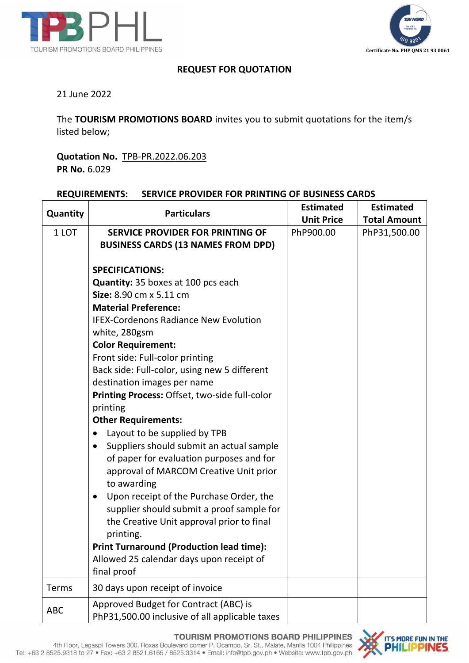



## **REQUEST FOR QUOTATION**

## 21 June 2022

The **TOURISM PROMOTIONS BOARD** invites you to submit quotations for the item/s listed below;

**Quotation No.** TPB-PR.2022.06.203 **PR No.** 6.029

## **REQUIREMENTS: SERVICE PROVIDER FOR PRINTING OF BUSINESS CARDS**

| Quantity   | <b>Particulars</b>                                    | <b>Estimated</b><br><b>Unit Price</b> | <b>Estimated</b><br><b>Total Amount</b> |
|------------|-------------------------------------------------------|---------------------------------------|-----------------------------------------|
| 1 LOT      | <b>SERVICE PROVIDER FOR PRINTING OF</b>               | PhP900.00                             | PhP31,500.00                            |
|            | <b>BUSINESS CARDS (13 NAMES FROM DPD)</b>             |                                       |                                         |
|            |                                                       |                                       |                                         |
|            | <b>SPECIFICATIONS:</b>                                |                                       |                                         |
|            | <b>Quantity:</b> 35 boxes at 100 pcs each             |                                       |                                         |
|            | Size: 8.90 cm x 5.11 cm                               |                                       |                                         |
|            | <b>Material Preference:</b>                           |                                       |                                         |
|            | <b>IFEX-Cordenons Radiance New Evolution</b>          |                                       |                                         |
|            | white, 280gsm                                         |                                       |                                         |
|            | <b>Color Requirement:</b>                             |                                       |                                         |
|            | Front side: Full-color printing                       |                                       |                                         |
|            | Back side: Full-color, using new 5 different          |                                       |                                         |
|            | destination images per name                           |                                       |                                         |
|            | Printing Process: Offset, two-side full-color         |                                       |                                         |
|            | printing                                              |                                       |                                         |
|            | <b>Other Requirements:</b>                            |                                       |                                         |
|            | Layout to be supplied by TPB<br>$\bullet$             |                                       |                                         |
|            | Suppliers should submit an actual sample<br>$\bullet$ |                                       |                                         |
|            | of paper for evaluation purposes and for              |                                       |                                         |
|            | approval of MARCOM Creative Unit prior                |                                       |                                         |
|            | to awarding                                           |                                       |                                         |
|            | Upon receipt of the Purchase Order, the<br>$\bullet$  |                                       |                                         |
|            | supplier should submit a proof sample for             |                                       |                                         |
|            | the Creative Unit approval prior to final             |                                       |                                         |
|            | printing.                                             |                                       |                                         |
|            | <b>Print Turnaround (Production lead time):</b>       |                                       |                                         |
|            | Allowed 25 calendar days upon receipt of              |                                       |                                         |
|            | final proof                                           |                                       |                                         |
| Terms      | 30 days upon receipt of invoice                       |                                       |                                         |
| <b>ABC</b> | Approved Budget for Contract (ABC) is                 |                                       |                                         |
|            | PhP31,500.00 inclusive of all applicable taxes        |                                       |                                         |